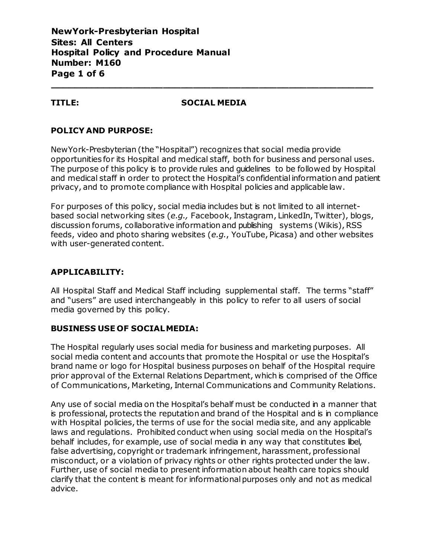**NewYork-Presbyterian Hospital Sites: All Centers Hospital Policy and Procedure Manual Number: M160 Page 1 of 6**

#### **TITLE: SOCIAL MEDIA**

**\_\_\_\_\_\_\_\_\_\_\_\_\_\_\_\_\_\_\_\_\_\_\_\_\_\_\_\_\_\_\_\_\_\_\_\_\_\_\_\_\_\_\_\_\_\_\_\_\_\_\_\_\_\_**

# **POLICY AND PURPOSE:**

NewYork-Presbyterian (the "Hospital") recognizes that social media provide opportunities for its Hospital and medical staff, both for business and personal uses. The purpose of this policy is to provide rules and quidelines to be followed by Hospital and medical staff in order to protect the Hospital's confidential information and patient privacy, and to promote compliance with Hospital policies and applicablelaw.

For purposes of this policy, social media includes but is not limited to all internetbased social networking sites (*e.g.,* Facebook, Instagram, LinkedIn, Twitter), blogs, discussion forums, collaborative information and publishing systems (Wikis), RSS feeds, video and photo sharing websites (*e.g.*, YouTube, Picasa) and other websites with user-generated content.

# **APPLICABILITY:**

All Hospital Staff and Medical Staff including supplemental staff. The terms "staff" and "users" are used interchangeably in this policy to refer to all users of social media governed by this policy.

# **BUSINESS USE OF SOCIALMEDIA:**

The Hospital regularly uses social media for business and marketing purposes. All social media content and accounts that promote the Hospital or use the Hospital's brand name or logo for Hospital business purposes on behalf of the Hospital require prior approval of the External Relations Department, which is comprised of the Office of Communications, Marketing, Internal Communications and Community Relations.

Any use of social media on the Hospital's behalf must be conducted in a manner that is professional, protects the reputation and brand of the Hospital and is in compliance with Hospital policies, the terms of use for the social media site, and any applicable laws and regulations. Prohibited conduct when using social media on the Hospital's behalf includes, for example, use of social media in any way that constitutes libel, false advertising, copyright or trademark infringement, harassment, professional misconduct, or a violation of privacy rights or other rights protected under the law. Further, use of social media to present information about health care topics should clarify that the content is meant for informational purposes only and not as medical advice.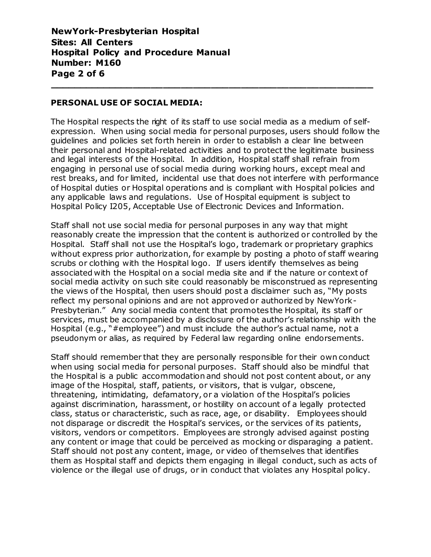**NewYork-Presbyterian Hospital Sites: All Centers Hospital Policy and Procedure Manual Number: M160 Page 2 of 6**

#### **PERSONAL USE OF SOCIAL MEDIA:**

The Hospital respects the right of its staff to use social media as a medium of selfexpression. When using social media for personal purposes, users should follow the guidelines and policies set forth herein in order to establish a clear line between their personal and Hospital-related activities and to protect the legitimate business and legal interests of the Hospital. In addition, Hospital staff shall refrain from engaging in personal use of social media during working hours, except meal and rest breaks, and for limited, incidental use that does not interfere with performance of Hospital duties or Hospital operations and is compliant with Hospital policies and any applicable laws and regulations. Use of Hospital equipment is subject to Hospital Policy I205, Acceptable Use of Electronic Devices and Information.

**\_\_\_\_\_\_\_\_\_\_\_\_\_\_\_\_\_\_\_\_\_\_\_\_\_\_\_\_\_\_\_\_\_\_\_\_\_\_\_\_\_\_\_\_\_\_\_\_\_\_\_\_\_\_**

Staff shall not use social media for personal purposes in any way that might reasonably create the impression that the content is authorized or controlled by the Hospital. Staff shall not use the Hospital's logo, trademark or proprietary graphics without express prior authorization, for example by posting a photo of staff wearing scrubs or clothing with the Hospital logo. If users identify themselves as being associated with the Hospital on a social media site and if the nature or context of social media activity on such site could reasonably be misconstrued as representing the views of the Hospital, then users should post a disclaimer such as, "My posts reflect my personal opinions and are not approved or authorized by NewYork-Presbyterian." Any social media content that promotes the Hospital, its staff or services, must be accompanied by a disclosure of the author's relationship with the Hospital (e.g., "#employee") and must include the author's actual name, not a pseudonym or alias, as required by Federal law regarding online endorsements.

Staff should remember that they are personally responsible for their own conduct when using social media for personal purposes. Staff should also be mindful that the Hospital is a public accommodation and should not post content about, or any image of the Hospital, staff, patients, or visitors, that is vulgar, obscene, threatening, intimidating, defamatory, or a violation of the Hospital's policies against discrimination, harassment, or hostility on account of a legally protected class, status or characteristic, such as race, age, or disability. Employees should not disparage or discredit the Hospital's services, or the services of its patients, visitors, vendors or competitors. Employees are strongly advised against posting any content or image that could be perceived as mocking or disparaging a patient. Staff should not post any content, image, or video of themselves that identifies them as Hospital staff and depicts them engaging in illegal conduct, such as acts of violence or the illegal use of drugs, or in conduct that violates any Hospital policy.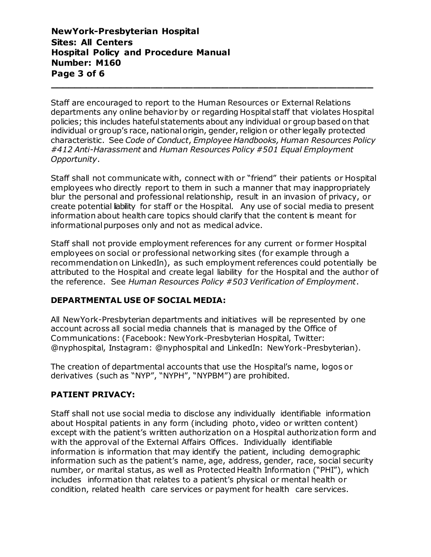# **NewYork-Presbyterian Hospital Sites: All Centers Hospital Policy and Procedure Manual Number: M160 Page 3 of 6**

Staff are encouraged to report to the Human Resources or External Relations departments any online behavior by or regarding Hospital staff that violates Hospital policies; this includes hateful statements about any individual or group based on that individual or group's race, national origin, gender, religion or other legally protected characteristic. See *Code of Conduct*, *Employee Handbooks, Human Resources Policy #412 Anti-Harassment* and *Human Resources Policy #501 Equal Employment Opportunity*.

**\_\_\_\_\_\_\_\_\_\_\_\_\_\_\_\_\_\_\_\_\_\_\_\_\_\_\_\_\_\_\_\_\_\_\_\_\_\_\_\_\_\_\_\_\_\_\_\_\_\_\_\_\_\_**

Staff shall not communicate with, connect with or "friend" their patients or Hospital employees who directly report to them in such a manner that may inappropriately blur the personal and professional relationship, result in an invasion of privacy, or create potential liability for staff or the Hospital. Any use of social media to present information about health care topics should clarify that the content is meant for informational purposes only and not as medical advice.

Staff shall not provide employment references for any current or former Hospital employees on social or professional networking sites (for example through a recommendation on LinkedIn), as such employment references could potentially be attributed to the Hospital and create legal liability for the Hospital and the author of the reference. See *Human Resources Policy #503 Verification of Employment*.

# **DEPARTMENTAL USE OF SOCIAL MEDIA:**

All NewYork-Presbyterian departments and initiatives will be represented by one account across all social media channels that is managed by the Office of Communications: (Facebook: NewYork-Presbyterian Hospital, Twitter: @nyphospital, Instagram: @nyphospital and LinkedIn: NewYork-Presbyterian).

The creation of departmental accounts that use the Hospital's name, logos or derivatives (such as "NYP", "NYPH", "NYPBM") are prohibited.

# **PATIENT PRIVACY:**

Staff shall not use social media to disclose any individually identifiable information about Hospital patients in any form (including photo, video or written content) except with the patient's written authorization on a Hospital authorization form and with the approval of the External Affairs Offices. Individually identifiable information is information that may identify the patient, including demographic information such as the patient's name, age, address, gender, race, social security number, or marital status, as well as Protected Health Information ("PHI"), which includes information that relates to a patient's physical or mental health or condition, related health care services or payment for health care services.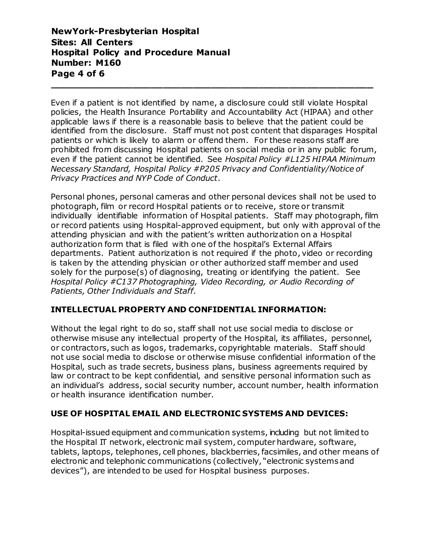**NewYork-Presbyterian Hospital Sites: All Centers Hospital Policy and Procedure Manual Number: M160 Page 4 of 6**

Even if a patient is not identified by name, a disclosure could still violate Hospital policies, the Health Insurance Portability and Accountability Act (HIPAA) and other applicable laws if there is a reasonable basis to believe that the patient could be identified from the disclosure. Staff must not post content that disparages Hospital patients or which is likely to alarm or offend them. For these reasons staff are prohibited from discussing Hospital patients on social media or in any public forum, even if the patient cannot be identified. See *Hospital Policy #L125 HIPAA Minimum Necessary Standard, Hospital Policy #P205 Privacy and Confidentiality/Notice of Privacy Practices and NYP Code of Conduct*.

**\_\_\_\_\_\_\_\_\_\_\_\_\_\_\_\_\_\_\_\_\_\_\_\_\_\_\_\_\_\_\_\_\_\_\_\_\_\_\_\_\_\_\_\_\_\_\_\_\_\_\_\_\_\_**

Personal phones, personal cameras and other personal devices shall not be used to photograph, film or record Hospital patients or to receive, store or transmit individually identifiable information of Hospital patients. Staff may photograph, film or record patients using Hospital-approved equipment, but only with approval of the attending physician and with the patient's written authorization on a Hospital authorization form that is filed with one of the hospital's External Affairs departments. Patient authorization is not required if the photo, video or recording is taken by the attending physician or other authorized staff member and used solely for the purpose(s) of diagnosing, treating or identifying the patient. See *Hospital Policy #C137 Photographing, Video Recording, or Audio Recording of Patients, Other Individuals and Staff.*

# **INTELLECTUAL PROPERTY AND CONFIDENTIAL INFORMATION:**

Without the legal right to do so, staff shall not use social media to disclose or otherwise misuse any intellectual property of the Hospital, its affiliates, personnel, or contractors, such as logos, trademarks, copyrightable materials. Staff should not use social media to disclose or otherwise misuse confidential information of the Hospital, such as trade secrets, business plans, business agreements required by law or contract to be kept confidential, and sensitive personal information such as an individual's address, social security number, account number, health information or health insurance identification number.

# **USE OF HOSPITAL EMAIL AND ELECTRONIC SYSTEMS AND DEVICES:**

Hospital-issued equipment and communication systems, including but not limited to the Hospital IT network, electronic mail system, computer hardware, software, tablets, laptops, telephones, cell phones, blackberries, facsimiles, and other means of electronic and telephonic communications (collectively, "electronic systems and devices"), are intended to be used for Hospital business purposes.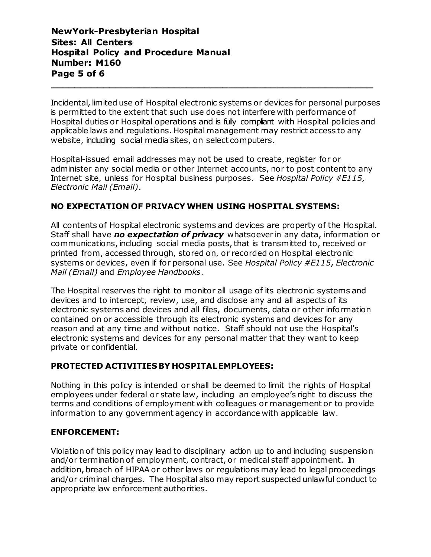# **NewYork-Presbyterian Hospital Sites: All Centers Hospital Policy and Procedure Manual Number: M160 Page 5 of 6**

Incidental, limited use of Hospital electronic systems or devices for personal purposes is permitted to the extent that such use does not interfere with performance of Hospital duties or Hospital operations and is fully compliant with Hospital policies and applicable laws and regulations. Hospital management may restrict access to any website, including social media sites, on select computers.

**\_\_\_\_\_\_\_\_\_\_\_\_\_\_\_\_\_\_\_\_\_\_\_\_\_\_\_\_\_\_\_\_\_\_\_\_\_\_\_\_\_\_\_\_\_\_\_\_\_\_\_\_\_\_**

Hospital-issued email addresses may not be used to create, register for or administer any social media or other Internet accounts, nor to post content to any Internet site, unless for Hospital business purposes. See *Hospital Policy #E115, Electronic Mail (Email)*.

# **NO EXPECTATION OF PRIVACY WHEN USING HOSPITAL SYSTEMS:**

All contents of Hospital electronic systems and devices are property of the Hospital. Staff shall have *no expectation of privacy* whatsoever in any data, information or communications, including social media posts, that is transmitted to, received or printed from, accessed through, stored on, or recorded on Hospital electronic systems or devices, even if for personal use. See *Hospital Policy #E115, Electronic Mail (Email)* and *Employee Handbooks*.

The Hospital reserves the right to monitor all usage of its electronic systems and devices and to intercept, review, use, and disclose any and all aspects of its electronic systems and devices and all files, documents, data or other information contained on or accessible through its electronic systems and devices for any reason and at any time and without notice. Staff should not use the Hospital's electronic systems and devices for any personal matter that they want to keep private or confidential.

# **PROTECTED ACTIVITIES BY HOSPITALEMPLOYEES:**

Nothing in this policy is intended or shall be deemed to limit the rights of Hospital employees under federal or state law, including an employee's right to discuss the terms and conditions of employment with colleagues or management or to provide information to any government agency in accordance with applicable law.

#### **ENFORCEMENT:**

Violation of this policy may lead to disciplinary action up to and including suspension and/or termination of employment, contract, or medical staff appointment. In addition, breach of HIPAA or other laws or regulations may lead to legal proceedings and/or criminal charges. The Hospital also may report suspected unlawful conduct to appropriate law enforcement authorities.